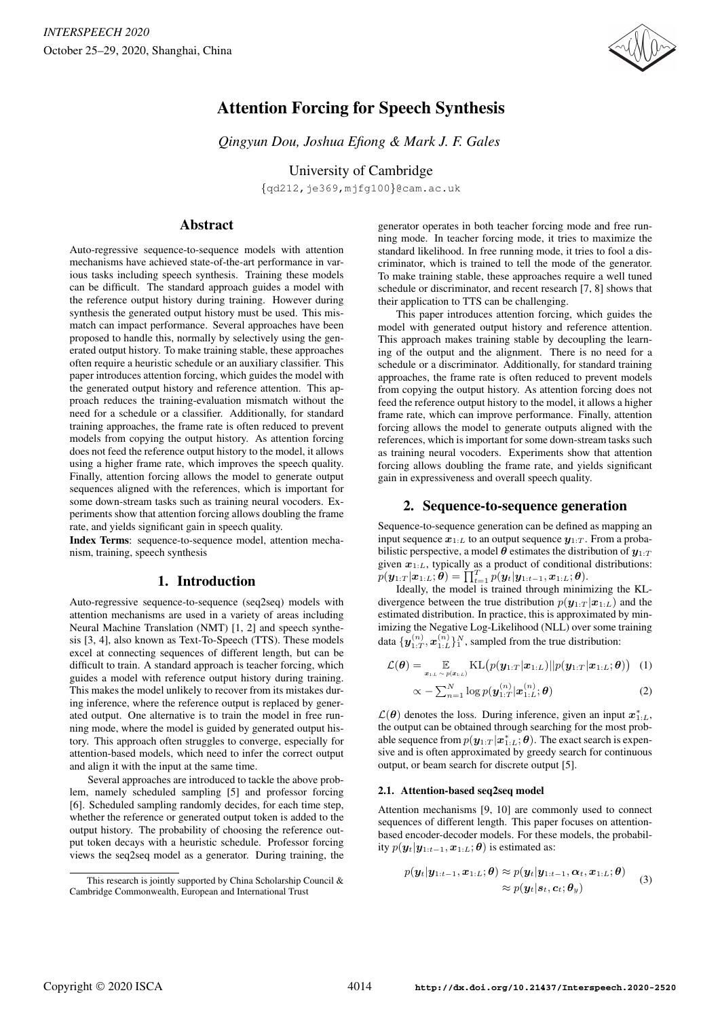

# Attention Forcing for Speech Synthesis

*Qingyun Dou, Joshua Efiong & Mark J. F. Gales*

University of Cambridge

{qd212,je369,mjfg100}@cam.ac.uk

## Abstract

Auto-regressive sequence-to-sequence models with attention mechanisms have achieved state-of-the-art performance in various tasks including speech synthesis. Training these models can be difficult. The standard approach guides a model with the reference output history during training. However during synthesis the generated output history must be used. This mismatch can impact performance. Several approaches have been proposed to handle this, normally by selectively using the generated output history. To make training stable, these approaches often require a heuristic schedule or an auxiliary classifier. This paper introduces attention forcing, which guides the model with the generated output history and reference attention. This approach reduces the training-evaluation mismatch without the need for a schedule or a classifier. Additionally, for standard training approaches, the frame rate is often reduced to prevent models from copying the output history. As attention forcing does not feed the reference output history to the model, it allows using a higher frame rate, which improves the speech quality. Finally, attention forcing allows the model to generate output sequences aligned with the references, which is important for some down-stream tasks such as training neural vocoders. Experiments show that attention forcing allows doubling the frame rate, and yields significant gain in speech quality.

Index Terms: sequence-to-sequence model, attention mechanism, training, speech synthesis

## 1. Introduction

Auto-regressive sequence-to-sequence (seq2seq) models with attention mechanisms are used in a variety of areas including Neural Machine Translation (NMT) [1, 2] and speech synthesis [3, 4], also known as Text-To-Speech (TTS). These models excel at connecting sequences of different length, but can be difficult to train. A standard approach is teacher forcing, which guides a model with reference output history during training. This makes the model unlikely to recover from its mistakes during inference, where the reference output is replaced by generated output. One alternative is to train the model in free running mode, where the model is guided by generated output history. This approach often struggles to converge, especially for attention-based models, which need to infer the correct output and align it with the input at the same time.

Several approaches are introduced to tackle the above problem, namely scheduled sampling [5] and professor forcing [6]. Scheduled sampling randomly decides, for each time step, whether the reference or generated output token is added to the output history. The probability of choosing the reference output token decays with a heuristic schedule. Professor forcing views the seq2seq model as a generator. During training, the

generator operates in both teacher forcing mode and free running mode. In teacher forcing mode, it tries to maximize the standard likelihood. In free running mode, it tries to fool a discriminator, which is trained to tell the mode of the generator. To make training stable, these approaches require a well tuned schedule or discriminator, and recent research [7, 8] shows that their application to TTS can be challenging.

This paper introduces attention forcing, which guides the model with generated output history and reference attention. This approach makes training stable by decoupling the learning of the output and the alignment. There is no need for a schedule or a discriminator. Additionally, for standard training approaches, the frame rate is often reduced to prevent models from copying the output history. As attention forcing does not feed the reference output history to the model, it allows a higher frame rate, which can improve performance. Finally, attention forcing allows the model to generate outputs aligned with the references, which is important for some down-stream tasks such as training neural vocoders. Experiments show that attention forcing allows doubling the frame rate, and yields significant gain in expressiveness and overall speech quality.

#### 2. Sequence-to-sequence generation

Sequence-to-sequence generation can be defined as mapping an input sequence  $x_{1:L}$  to an output sequence  $y_{1:T}$ . From a probabilistic perspective, a model  $\theta$  estimates the distribution of  $y_{1:T}$ given  $x_{1:L}$ , typically as a product of conditional distributions:  $p(\boldsymbol{y}_{1:T}|\boldsymbol{x}_{1:L};\boldsymbol{\theta}) = \prod_{t=1}^T p(\boldsymbol{y}_t|\boldsymbol{y}_{1:t-1},\boldsymbol{x}_{1:L};\boldsymbol{\theta}).$ 

Ideally, the model is trained through minimizing the KLdivergence between the true distribution  $p(\mathbf{y}_{1:T} | \mathbf{x}_{1:L})$  and the estimated distribution. In practice, this is approximated by minimizing the Negative Log-Likelihood (NLL) over some training data  $\{y_{1:T}^{(n)}, x_{1:L}^{(n)}\}^N_1$ , sampled from the true distribution:

$$
\mathcal{L}(\boldsymbol{\theta}) = \mathop{\mathbb{E}}_{\boldsymbol{x}_{1:L} \sim p(\boldsymbol{x}_{1:L})} \text{KL}\big(p(\boldsymbol{y}_{1:T}|\boldsymbol{x}_{1:L})||p(\boldsymbol{y}_{1:T}|\boldsymbol{x}_{1:L};\boldsymbol{\theta})\big) \tag{1}
$$

$$
\propto -\sum_{n=1}^{N} \log p(\boldsymbol{y}_{1:T}^{(n)}|\boldsymbol{x}_{1:L}^{(n)};\boldsymbol{\theta})
$$
\n(2)

 $\mathcal{L}(\theta)$  denotes the loss. During inference, given an input  $\mathbf{x}_{1:L}^*$ , the output can be obtained through searching for the most probable sequence from  $p(\bm{y}_{1:T}|\bm{x}_{1:L}^*;\bm{\theta})$ . The exact search is expensive and is often approximated by greedy search for continuous output, or beam search for discrete output [5].

#### 2.1. Attention-based seq2seq model

Attention mechanisms [9, 10] are commonly used to connect sequences of different length. This paper focuses on attentionbased encoder-decoder models. For these models, the probability  $p(\mathbf{y}_t|\mathbf{y}_{1:t-1}, \mathbf{x}_{1:L}; \boldsymbol{\theta})$  is estimated as:

$$
p(\boldsymbol{y}_t | \boldsymbol{y}_{1:t-1}, \boldsymbol{x}_{1:L}; \boldsymbol{\theta}) \approx p(\boldsymbol{y}_t | \boldsymbol{y}_{1:t-1}, \boldsymbol{\alpha}_t, \boldsymbol{x}_{1:L}; \boldsymbol{\theta}) \approx p(\boldsymbol{y}_t | \boldsymbol{s}_t, \boldsymbol{c}_t; \boldsymbol{\theta}_y)
$$
(3)

This research is jointly supported by China Scholarship Council & Cambridge Commonwealth, European and International Trust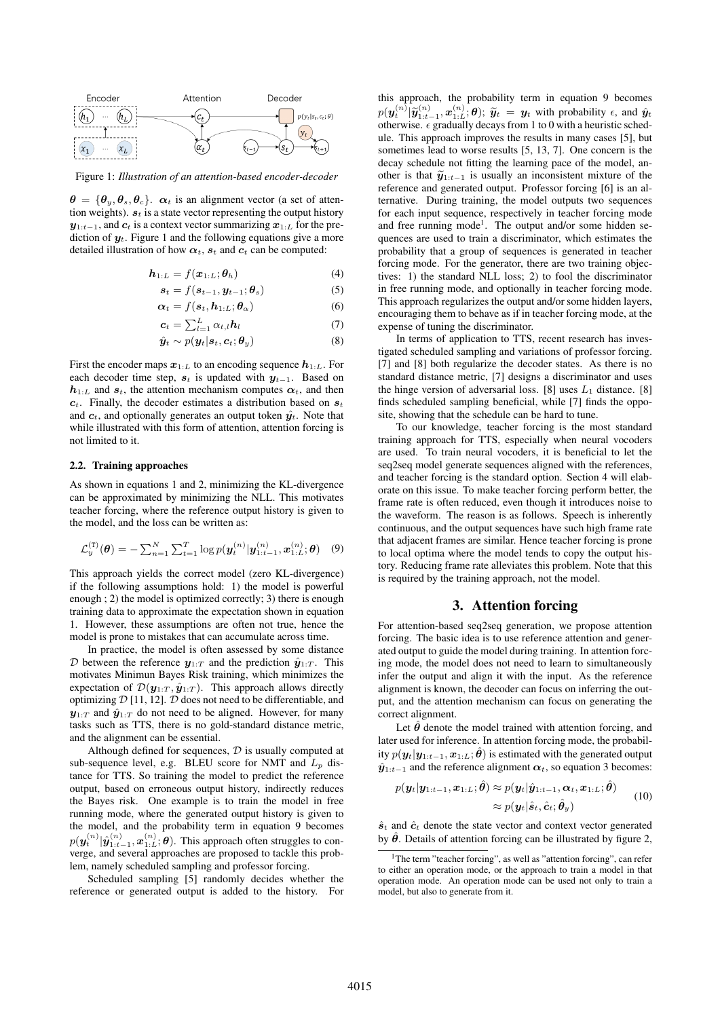

Figure 1: *Illustration of an attention-based encoder-decoder*

 $\theta = {\theta_u, \theta_s, \theta_c}$ .  $\alpha_t$  is an alignment vector (a set of attention weights).  $s_t$  is a state vector representing the output history  $y_{1:t-1}$ , and  $c_t$  is a context vector summarizing  $x_{1:L}$  for the prediction of  $y_t$ . Figure 1 and the following equations give a more detailed illustration of how  $\alpha_t$ ,  $s_t$  and  $c_t$  can be computed:

$$
\boldsymbol{h}_{1:L} = f(\boldsymbol{x}_{1:L}; \boldsymbol{\theta}_h) \tag{4}
$$

$$
\boldsymbol{s}_t = f(\boldsymbol{s}_{t-1}, \boldsymbol{y}_{t-1}; \boldsymbol{\theta}_s) \tag{5}
$$

$$
\boldsymbol{\alpha}_t = f(\boldsymbol{s}_t, \boldsymbol{h}_{1:L}; \boldsymbol{\theta}_{\alpha}) \tag{6}
$$

$$
\boldsymbol{c}_t = \sum_{l=1}^L \alpha_{t,l} \boldsymbol{h}_l \tag{7}
$$

$$
\hat{\boldsymbol{y}}_t \sim p(\boldsymbol{y}_t | \boldsymbol{s}_t, \boldsymbol{c}_t; \boldsymbol{\theta}_y) \tag{8}
$$

First the encoder maps  $x_{1:L}$  to an encoding sequence  $h_{1:L}$ . For each decoder time step,  $s_t$  is updated with  $y_{t-1}$ . Based on  $h_{1:L}$  and  $s_t$ , the attention mechanism computes  $\alpha_t$ , and then  $c_t$ . Finally, the decoder estimates a distribution based on  $s_t$ and  $c_t$ , and optionally generates an output token  $\hat{y_t}$ . Note that while illustrated with this form of attention, attention forcing is not limited to it.

#### 2.2. Training approaches

As shown in equations 1 and 2, minimizing the KL-divergence can be approximated by minimizing the NLL. This motivates teacher forcing, where the reference output history is given to the model, and the loss can be written as:

$$
\mathcal{L}_{y}^{(T)}(\boldsymbol{\theta}) = -\sum_{n=1}^{N} \sum_{t=1}^{T} \log p(\boldsymbol{y}_{t}^{(n)} | \boldsymbol{y}_{1:t-1}^{(n)}, \boldsymbol{x}_{1:L}^{(n)}; \boldsymbol{\theta}) \quad (9)
$$

This approach yields the correct model (zero KL-divergence) if the following assumptions hold: 1) the model is powerful enough ; 2) the model is optimized correctly; 3) there is enough training data to approximate the expectation shown in equation 1. However, these assumptions are often not true, hence the model is prone to mistakes that can accumulate across time.

In practice, the model is often assessed by some distance  $D$  between the reference  $y_{1:T}$  and the prediction  $\hat{y}_{1:T}$ . This motivates Minimun Bayes Risk training, which minimizes the expectation of  $\mathcal{D}(\mathbf{y}_{1:T}, \hat{\mathbf{y}}_{1:T})$ . This approach allows directly optimizing  $D$  [11, 12].  $D$  does not need to be differentiable, and  $y_{1:T}$  and  $\hat{y}_{1:T}$  do not need to be aligned. However, for many tasks such as TTS, there is no gold-standard distance metric, and the alignment can be essential.

Although defined for sequences,  $D$  is usually computed at sub-sequence level, e.g. BLEU score for NMT and  $L_p$  distance for TTS. So training the model to predict the reference output, based on erroneous output history, indirectly reduces the Bayes risk. One example is to train the model in free running mode, where the generated output history is given to the model, and the probability term in equation 9 becomes  $p(\bm{y}_t^{(n)} | \hat{\bm{y}}_{1:t-1}^{(n)}, \bm{x}_{1:L}^{(n)}; \bm{\theta}).$  This approach often struggles to converge, and several approaches are proposed to tackle this problem, namely scheduled sampling and professor forcing.

Scheduled sampling [5] randomly decides whether the reference or generated output is added to the history. For

this approach, the probability term in equation 9 becomes  $p(\mathbf{y}_t^{(n)} | \widetilde{\mathbf{y}}_{1:t-1}^{(n)}, \mathbf{x}_{1:t}^{(n)}; \theta)$ ;  $\widetilde{\mathbf{y}}_t = \mathbf{y}_t$  with probability  $\epsilon$ , and  $\hat{\mathbf{y}}_t$  otherwise  $\epsilon$  organizally decays from 1 to 0 with a beuristic sched otherwise.  $\epsilon$  gradually decays from 1 to 0 with a heuristic schedule. This approach improves the results in many cases [5], but sometimes lead to worse results [5, 13, 7]. One concern is the decay schedule not fitting the learning pace of the model, another is that  $\widetilde{y}_{1:t-1}$  is usually an inconsistent mixture of the reference and generated output. Professor forcing [6] is an alternative. During training, the model outputs two sequences for each input sequence, respectively in teacher forcing mode and free running mode<sup>1</sup>. The output and/or some hidden sequences are used to train a discriminator, which estimates the probability that a group of sequences is generated in teacher forcing mode. For the generator, there are two training objectives: 1) the standard NLL loss; 2) to fool the discriminator in free running mode, and optionally in teacher forcing mode. This approach regularizes the output and/or some hidden layers, encouraging them to behave as if in teacher forcing mode, at the expense of tuning the discriminator.

In terms of application to TTS, recent research has investigated scheduled sampling and variations of professor forcing. [7] and [8] both regularize the decoder states. As there is no standard distance metric, [7] designs a discriminator and uses the hinge version of adversarial loss. [8] uses  $L_1$  distance. [8] finds scheduled sampling beneficial, while [7] finds the opposite, showing that the schedule can be hard to tune.

To our knowledge, teacher forcing is the most standard training approach for TTS, especially when neural vocoders are used. To train neural vocoders, it is beneficial to let the seq2seq model generate sequences aligned with the references, and teacher forcing is the standard option. Section 4 will elaborate on this issue. To make teacher forcing perform better, the frame rate is often reduced, even though it introduces noise to the waveform. The reason is as follows. Speech is inherently continuous, and the output sequences have such high frame rate that adjacent frames are similar. Hence teacher forcing is prone to local optima where the model tends to copy the output history. Reducing frame rate alleviates this problem. Note that this is required by the training approach, not the model.

#### 3. Attention forcing

For attention-based seq2seq generation, we propose attention forcing. The basic idea is to use reference attention and generated output to guide the model during training. In attention forcing mode, the model does not need to learn to simultaneously infer the output and align it with the input. As the reference alignment is known, the decoder can focus on inferring the output, and the attention mechanism can focus on generating the correct alignment.

Let  $\theta$  denote the model trained with attention forcing, and later used for inference. In attention forcing mode, the probability  $p(\mathbf{y}_t|\mathbf{y}_{1:t-1}, \mathbf{x}_{1:L}; \hat{\theta})$  is estimated with the generated output  $\hat{\mathbf{y}}_{1:t-1}$  and the reference alignment  $\alpha_t$ , so equation 3 becomes:

$$
p(\boldsymbol{y}_t | \boldsymbol{y}_{1:t-1}, \boldsymbol{x}_{1:L}; \hat{\boldsymbol{\theta}}) \approx p(\boldsymbol{y}_t | \hat{\boldsymbol{y}}_{1:t-1}, \boldsymbol{\alpha}_t, \boldsymbol{x}_{1:L}; \hat{\boldsymbol{\theta}}) \approx p(\boldsymbol{y}_t | \hat{\boldsymbol{s}}_t, \hat{\boldsymbol{c}}_t; \hat{\boldsymbol{\theta}}_y)
$$
(10)

 $\hat{\mathbf{s}}_t$  and  $\hat{\mathbf{c}}_t$  denote the state vector and context vector generated by  $\hat{\theta}$ . Details of attention forcing can be illustrated by figure 2,

<sup>&</sup>lt;sup>1</sup>The term "teacher forcing", as well as "attention forcing", can refer to either an operation mode, or the approach to train a model in that operation mode. An operation mode can be used not only to train a model, but also to generate from it.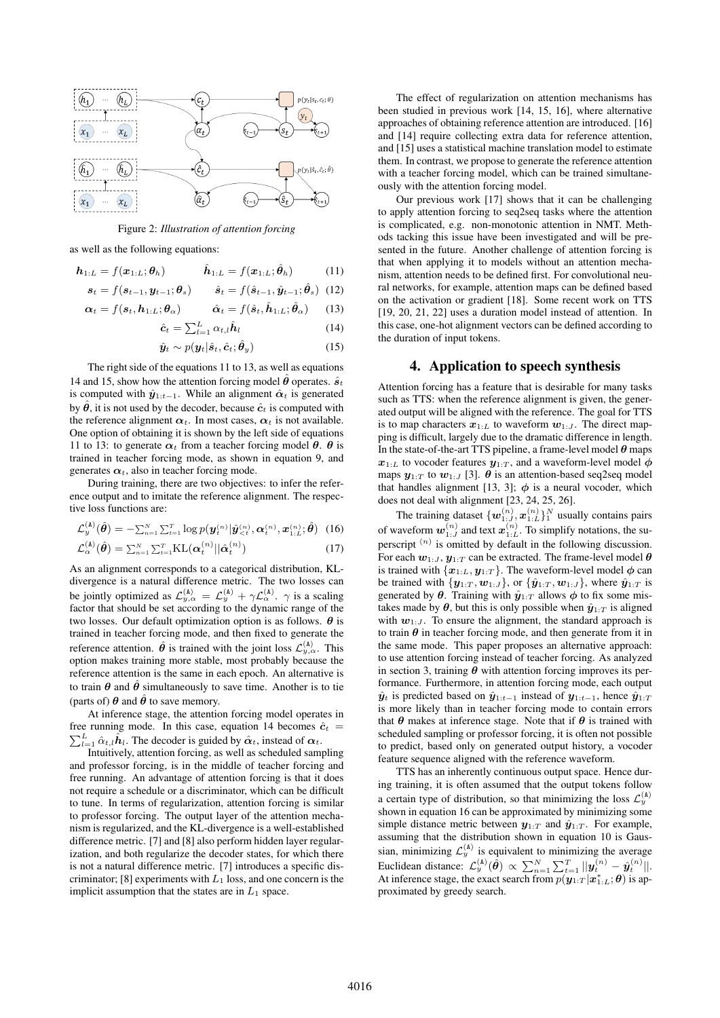

Figure 2: *Illustration of attention forcing*

as well as the following equations:

$$
\boldsymbol{h}_{1:L} = f(\boldsymbol{x}_{1:L}; \boldsymbol{\theta}_h) \qquad \hat{\boldsymbol{h}}_{1:L} = f(\boldsymbol{x}_{1:L}; \hat{\boldsymbol{\theta}}_h) \qquad (11)
$$

$$
\mathbf{s}_{t} = f(\mathbf{s}_{t-1}, \mathbf{y}_{t-1}; \boldsymbol{\theta}_{s}) \qquad \hat{\mathbf{s}}_{t} = f(\hat{\mathbf{s}}_{t-1}, \hat{\mathbf{y}}_{t-1}; \hat{\boldsymbol{\theta}}_{s}) \tag{12}
$$

$$
\boldsymbol{\alpha}_t = f(\boldsymbol{s}_t, \boldsymbol{h}_{1:L}; \boldsymbol{\theta}_{\alpha}) \qquad \hat{\boldsymbol{\alpha}}_t = f(\hat{\boldsymbol{s}}_t, \hat{\boldsymbol{h}}_{1:L}; \hat{\boldsymbol{\theta}}_{\alpha}) \qquad (13)
$$

$$
\hat{\boldsymbol{c}}_t = \sum_{l=1}^L \alpha_{t,l} \hat{\boldsymbol{h}}_l \tag{14}
$$

$$
\hat{\boldsymbol{y}}_t \sim p(\boldsymbol{y}_t | \hat{\boldsymbol{s}}_t, \hat{\boldsymbol{c}}_t; \hat{\boldsymbol{\theta}}_y) \tag{15}
$$

The right side of the equations 11 to 13, as well as equations 14 and 15, show how the attention forcing model  $\hat{\theta}$  operates.  $\hat{s}_t$ is computed with  $\hat{\mathbf{y}}_{1:t-1}$ . While an alignment  $\hat{\alpha}_t$  is generated by  $\hat{\theta}$ , it is not used by the decoder, because  $\hat{c}_t$  is computed with the reference alignment  $\alpha_t$ . In most cases,  $\alpha_t$  is not available. One option of obtaining it is shown by the left side of equations 11 to 13: to generate  $\alpha_t$  from a teacher forcing model  $\theta$ .  $\theta$  is trained in teacher forcing mode, as shown in equation 9, and generates  $\alpha_t$ , also in teacher forcing mode.

During training, there are two objectives: to infer the reference output and to imitate the reference alignment. The respective loss functions are:

$$
\mathcal{L}_{y}^{(\mathtt{A})}(\hat{\boldsymbol{\theta}}) = -\sum_{n=1}^{N} \sum_{t=1}^{T} \log p(\boldsymbol{y}_{t}^{(n)} | \hat{\boldsymbol{y}}_{\leq t}^{(n)}, \boldsymbol{\alpha}_{t}^{(n)}, \boldsymbol{x}_{1:L}^{(n)}; \hat{\boldsymbol{\theta}}) \tag{16}
$$

$$
\mathcal{L}_{\alpha}^{(\mathtt{A})}(\hat{\boldsymbol{\theta}}) = \sum_{n=1}^{N} \sum_{t=1}^{T} \mathrm{KL}(\boldsymbol{\alpha}_t^{(n)} || \hat{\boldsymbol{\alpha}}_t^{(n)})
$$
(17)

As an alignment corresponds to a categorical distribution, KLdivergence is a natural difference metric. The two losses can be jointly optimized as  $\mathcal{L}_{y,\alpha}^{(A)} = \mathcal{L}_{y}^{(A)} + \gamma \mathcal{L}_{\alpha}^{(A)}$ .  $\gamma$  is a scaling factor that should be set according to the dynamic range of the two losses. Our default optimization option is as follows.  $\theta$  is trained in teacher forcing mode, and then fixed to generate the reference attention.  $\hat{\theta}$  is trained with the joint loss  $\mathcal{L}_{y,\alpha}^{(\text{A})}$ . This option makes training more stable, most probably because the reference attention is the same in each epoch. An alternative is to train  $\theta$  and  $\hat{\theta}$  simultaneously to save time. Another is to tie (parts of)  $\theta$  and  $\hat{\theta}$  to save memory.

At inference stage, the attention forcing model operates in  $\sum_{l=1}^{L} \hat{\alpha}_{t,l} \hat{\boldsymbol{h}}_l$ . The decoder is guided by  $\hat{\boldsymbol{\alpha}}_t$ , instead of  $\boldsymbol{\alpha}_t$ . free running mode. In this case, equation 14 becomes  $\hat{c}_t$  =

Intuitively, attention forcing, as well as scheduled sampling and professor forcing, is in the middle of teacher forcing and free running. An advantage of attention forcing is that it does not require a schedule or a discriminator, which can be difficult to tune. In terms of regularization, attention forcing is similar to professor forcing. The output layer of the attention mechanism is regularized, and the KL-divergence is a well-established difference metric. [7] and [8] also perform hidden layer regularization, and both regularize the decoder states, for which there is not a natural difference metric. [7] introduces a specific discriminator; [8] experiments with  $L_1$  loss, and one concern is the implicit assumption that the states are in  $L_1$  space.

The effect of regularization on attention mechanisms has been studied in previous work [14, 15, 16], where alternative approaches of obtaining reference attention are introduced. [16] and [14] require collecting extra data for reference attention, and [15] uses a statistical machine translation model to estimate them. In contrast, we propose to generate the reference attention with a teacher forcing model, which can be trained simultaneously with the attention forcing model.

Our previous work [17] shows that it can be challenging to apply attention forcing to seq2seq tasks where the attention is complicated, e.g. non-monotonic attention in NMT. Methods tacking this issue have been investigated and will be presented in the future. Another challenge of attention forcing is that when applying it to models without an attention mechanism, attention needs to be defined first. For convolutional neural networks, for example, attention maps can be defined based on the activation or gradient [18]. Some recent work on TTS [19, 20, 21, 22] uses a duration model instead of attention. In this case, one-hot alignment vectors can be defined according to the duration of input tokens.

### 4. Application to speech synthesis

Attention forcing has a feature that is desirable for many tasks such as TTS: when the reference alignment is given, the generated output will be aligned with the reference. The goal for TTS is to map characters  $x_{1:L}$  to waveform  $w_{1:J}$ . The direct mapping is difficult, largely due to the dramatic difference in length. In the state-of-the-art TTS pipeline, a frame-level model  $\theta$  maps  $x_{1:L}$  to vocoder features  $y_{1:T}$ , and a waveform-level model  $\phi$ maps  $y_{1:T}$  to  $w_{1:J}$  [3].  $\theta$  is an attention-based seq2seq model that handles alignment [13, 3];  $\phi$  is a neural vocoder, which does not deal with alignment [23, 24, 25, 26].

The training dataset  $\{w_{1:J}^{(n)}, x_{1:L}^{(n)}\}^N_1$  usually contains pairs of waveform  $w_{1:J}^{(n)}$  and text  $x_{1:L}^{(n)}$ . To simplify notations, the superscript  $(n)$  is omitted by default in the following discussion. For each  $w_{1:J}$ ,  $y_{1:T}$  can be extracted. The frame-level model  $\theta$ is trained with  $\{x_{1:L}, y_{1:T}\}$ . The waveform-level model  $\phi$  can be trained with  $\{y_{1:T}, w_{1:J}\}$ , or  $\{\hat{y}_{1:T}, w_{1:J}\}$ , where  $\hat{y}_{1:T}$  is generated by  $\theta$ . Training with  $\hat{y}_{1:T}$  allows  $\phi$  to fix some mistakes made by  $\theta$ , but this is only possible when  $\hat{y}_{1:T}$  is aligned with  $w_{1:J}$ . To ensure the alignment, the standard approach is to train  $\theta$  in teacher forcing mode, and then generate from it in the same mode. This paper proposes an alternative approach: to use attention forcing instead of teacher forcing. As analyzed in section 3, training  $\theta$  with attention forcing improves its performance. Furthermore, in attention forcing mode, each output  $\hat{y}_t$  is predicted based on  $\hat{y}_{1:t-1}$  instead of  $y_{1:t-1}$ , hence  $\hat{y}_{1:T}$ is more likely than in teacher forcing mode to contain errors that  $\theta$  makes at inference stage. Note that if  $\theta$  is trained with scheduled sampling or professor forcing, it is often not possible to predict, based only on generated output history, a vocoder feature sequence aligned with the reference waveform.

TTS has an inherently continuous output space. Hence during training, it is often assumed that the output tokens follow a certain type of distribution, so that minimizing the loss  $\mathcal{L}_y^{(\text{A})}$ shown in equation 16 can be approximated by minimizing some simple distance metric between  $y_{1:T}$  and  $\hat{y}_{1:T}$ . For example, assuming that the distribution shown in equation 10 is Gaussian, minimizing  $\mathcal{L}_y^{(A)}$  is equivalent to minimizing the average Euclidean distance:  $\mathcal{L}_{y}^{(\text{A})}(\hat{\theta}) \propto \sum_{n=1}^{N} \sum_{t=1}^{T} ||y_t^{(n)} - \hat{y}_t^{(n)}||.$ At inference stage, the exact search from  $p(\hat{\mathbf{y}}_{1:T} | \hat{\mathbf{x}}_{1:L}^*, \theta)$  is approximated by greedy search.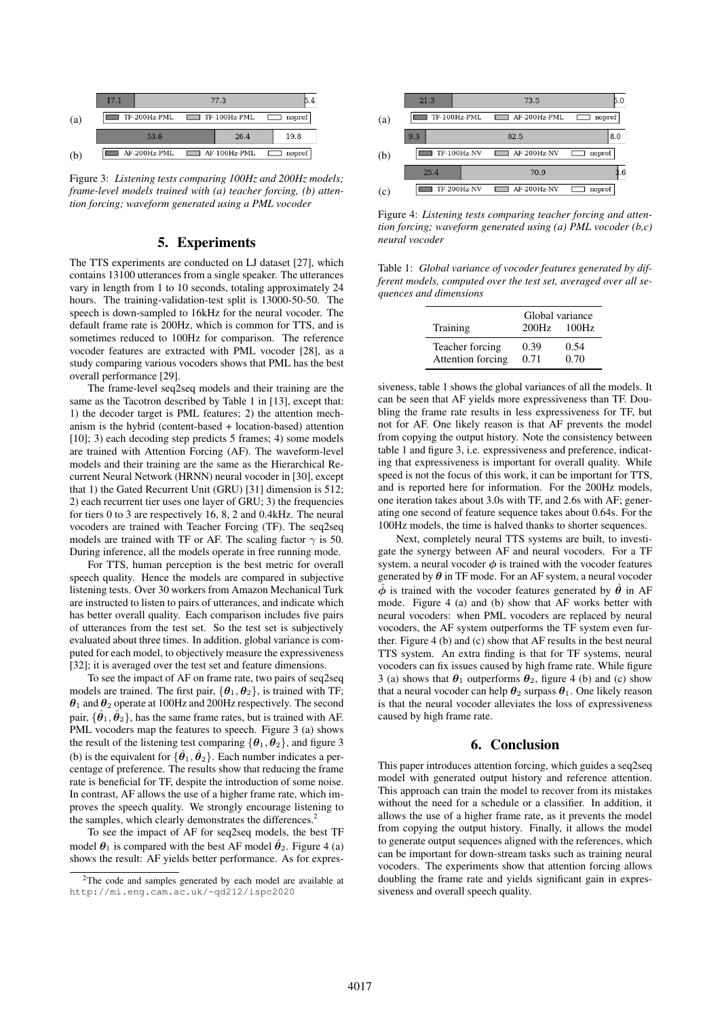

Figure 3: *Listening tests comparing 100Hz and 200Hz models; frame-level models trained with (a) teacher forcing, (b) attention forcing; waveform generated using a PML vocoder*

## 5. Experiments

The TTS experiments are conducted on LJ dataset [27], which contains 13100 utterances from a single speaker. The utterances vary in length from 1 to 10 seconds, totaling approximately 24 hours. The training-validation-test split is 13000-50-50. The speech is down-sampled to 16kHz for the neural vocoder. The default frame rate is 200Hz, which is common for TTS, and is sometimes reduced to 100Hz for comparison. The reference vocoder features are extracted with PML vocoder [28], as a study comparing various vocoders shows that PML has the best overall performance [29].

The frame-level seq2seq models and their training are the same as the Tacotron described by Table 1 in [13], except that: 1) the decoder target is PML features; 2) the attention mechanism is the hybrid (content-based + location-based) attention [10]; 3) each decoding step predicts 5 frames; 4) some models are trained with Attention Forcing (AF). The waveform-level models and their training are the same as the Hierarchical Recurrent Neural Network (HRNN) neural vocoder in [30], except that 1) the Gated Recurrent Unit (GRU) [31] dimension is 512; 2) each recurrent tier uses one layer of GRU; 3) the frequencies for tiers 0 to 3 are respectively 16, 8, 2 and 0.4kHz. The neural vocoders are trained with Teacher Forcing (TF). The seq2seq models are trained with TF or AF. The scaling factor  $\gamma$  is 50. During inference, all the models operate in free running mode.

For TTS, human perception is the best metric for overall speech quality. Hence the models are compared in subjective listening tests. Over 30 workers from Amazon Mechanical Turk are instructed to listen to pairs of utterances, and indicate which has better overall quality. Each comparison includes five pairs of utterances from the test set. So the test set is subjectively evaluated about three times. In addition, global variance is computed for each model, to objectively measure the expressiveness [32]; it is averaged over the test set and feature dimensions.

To see the impact of AF on frame rate, two pairs of seq2seq models are trained. The first pair,  $\{\theta_1, \theta_2\}$ , is trained with TF;  $\theta_1$  and  $\theta_2$  operate at 100Hz and 200Hz respectively. The second pair,  $\{\hat{\theta}_1, \hat{\theta}_2\}$ , has the same frame rates, but is trained with AF. PML vocoders map the features to speech. Figure 3 (a) shows the result of the listening test comparing  $\{\theta_1, \theta_2\}$ , and figure 3 (b) is the equivalent for  $\{\hat{\theta}_1, \hat{\theta}_2\}$ . Each number indicates a percentage of preference. The results show that reducing the frame rate is beneficial for TF, despite the introduction of some noise. In contrast, AF allows the use of a higher frame rate, which improves the speech quality. We strongly encourage listening to the samples, which clearly demonstrates the differences.<sup>2</sup>

To see the impact of AF for seq2seq models, the best TF model  $\theta_1$  is compared with the best AF model  $\hat{\theta}_2$ . Figure 4 (a) shows the result: AF yields better performance. As for expres-



Figure 4: *Listening tests comparing teacher forcing and attention forcing; waveform generated using (a) PML vocoder (b,c) neural vocoder*

Table 1: *Global variance of vocoder features generated by different models, computed over the test set, averaged over all sequences and dimensions*

| Training          | 200Hz | Global variance<br>100Hz |
|-------------------|-------|--------------------------|
| Teacher forcing   | 0.39  | 0.54                     |
| Attention forcing | 0.71  | 0.70                     |

siveness, table 1 shows the global variances of all the models. It can be seen that AF yields more expressiveness than TF. Doubling the frame rate results in less expressiveness for TF, but not for AF. One likely reason is that AF prevents the model from copying the output history. Note the consistency between table 1 and figure 3, i.e. expressiveness and preference, indicating that expressiveness is important for overall quality. While speed is not the focus of this work, it can be important for TTS, and is reported here for information. For the 200Hz models, one iteration takes about 3.0s with TF, and 2.6s with AF; generating one second of feature sequence takes about 0.64s. For the 100Hz models, the time is halved thanks to shorter sequences.

Next, completely neural TTS systems are built, to investigate the synergy between AF and neural vocoders. For a TF system, a neural vocoder  $\phi$  is trained with the vocoder features generated by  $\theta$  in TF mode. For an AF system, a neural vocoder  $\hat{\phi}$  is trained with the vocoder features generated by  $\hat{\theta}$  in AF mode. Figure 4 (a) and (b) show that AF works better with neural vocoders: when PML vocoders are replaced by neural vocoders, the AF system outperforms the TF system even further. Figure 4 (b) and (c) show that AF results in the best neural TTS system. An extra finding is that for TF systems, neural vocoders can fix issues caused by high frame rate. While figure 3 (a) shows that  $\theta_1$  outperforms  $\theta_2$ , figure 4 (b) and (c) show that a neural vocoder can help  $\theta_2$  surpass  $\theta_1$ . One likely reason is that the neural vocoder alleviates the loss of expressiveness caused by high frame rate.

#### 6. Conclusion

This paper introduces attention forcing, which guides a seq2seq model with generated output history and reference attention. This approach can train the model to recover from its mistakes without the need for a schedule or a classifier. In addition, it allows the use of a higher frame rate, as it prevents the model from copying the output history. Finally, it allows the model to generate output sequences aligned with the references, which can be important for down-stream tasks such as training neural vocoders. The experiments show that attention forcing allows doubling the frame rate and yields significant gain in expressiveness and overall speech quality.

<sup>2</sup>The code and samples generated by each model are available at http://mi.eng.cam.ac.uk/~qd212/ispc2020